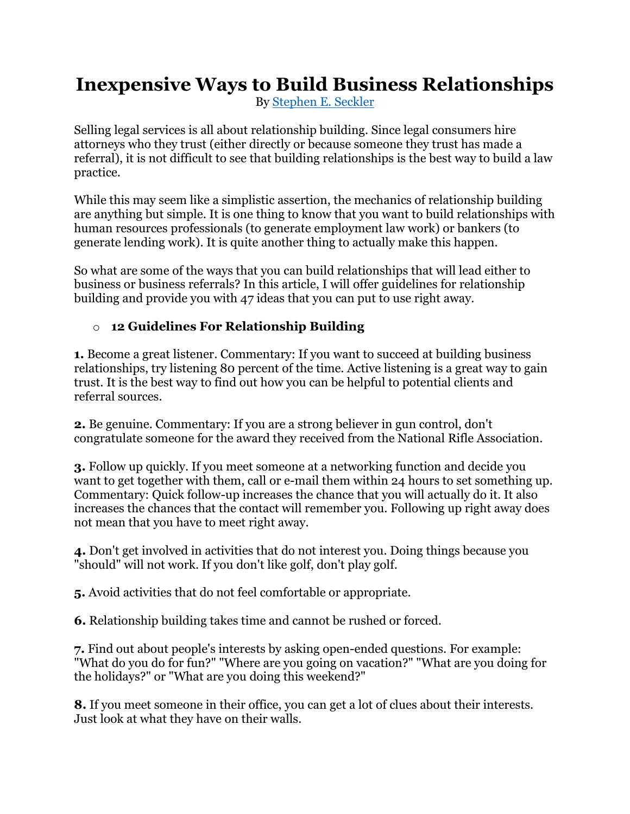## **Inexpensive Ways to Build Business Relationships**

By [Stephen E. Seckler](http://www.seckler.com/about/)

Selling legal services is all about relationship building. Since legal consumers hire attorneys who they trust (either directly or because someone they trust has made a referral), it is not difficult to see that building relationships is the best way to build a law practice.

While this may seem like a simplistic assertion, the mechanics of relationship building are anything but simple. It is one thing to know that you want to build relationships with human resources professionals (to generate employment law work) or bankers (to generate lending work). It is quite another thing to actually make this happen.

So what are some of the ways that you can build relationships that will lead either to business or business referrals? In this article, I will offer guidelines for relationship building and provide you with 47 ideas that you can put to use right away.

## o **12 Guidelines For Relationship Building**

**1.** Become a great listener. Commentary: If you want to succeed at building business relationships, try listening 80 percent of the time. Active listening is a great way to gain trust. It is the best way to find out how you can be helpful to potential clients and referral sources.

**2.** Be genuine. Commentary: If you are a strong believer in gun control, don't congratulate someone for the award they received from the National Rifle Association.

**3.** Follow up quickly. If you meet someone at a networking function and decide you want to get together with them, call or e-mail them within 24 hours to set something up. Commentary: Quick follow-up increases the chance that you will actually do it. It also increases the chances that the contact will remember you. Following up right away does not mean that you have to meet right away.

**4.** Don't get involved in activities that do not interest you. Doing things because you "should" will not work. If you don't like golf, don't play golf.

**5.** Avoid activities that do not feel comfortable or appropriate.

**6.** Relationship building takes time and cannot be rushed or forced.

**7.** Find out about people's interests by asking open-ended questions. For example: "What do you do for fun?" "Where are you going on vacation?" "What are you doing for the holidays?" or "What are you doing this weekend?"

**8.** If you meet someone in their office, you can get a lot of clues about their interests. Just look at what they have on their walls.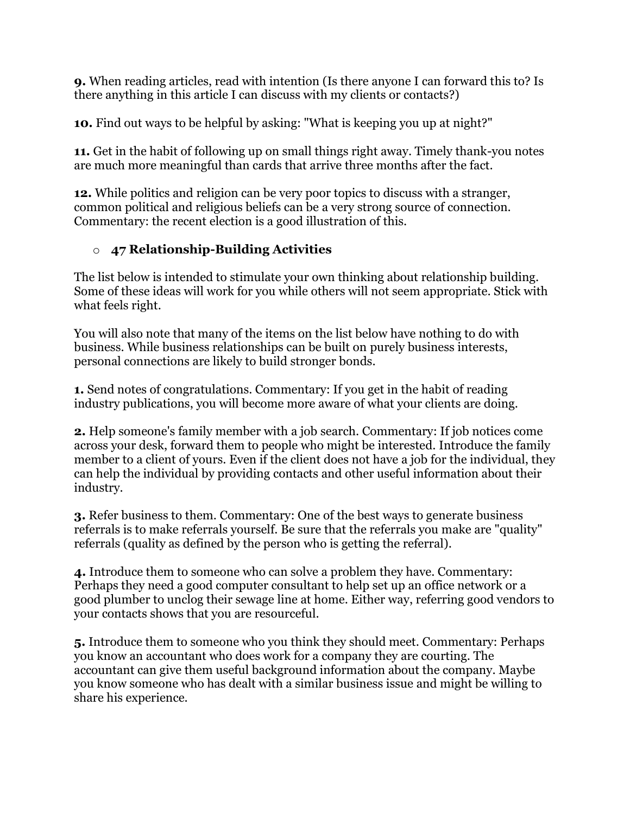**9.** When reading articles, read with intention (Is there anyone I can forward this to? Is there anything in this article I can discuss with my clients or contacts?)

**10.** Find out ways to be helpful by asking: "What is keeping you up at night?"

**11.** Get in the habit of following up on small things right away. Timely thank-you notes are much more meaningful than cards that arrive three months after the fact.

**12.** While politics and religion can be very poor topics to discuss with a stranger, common political and religious beliefs can be a very strong source of connection. Commentary: the recent election is a good illustration of this.

## o **47 Relationship-Building Activities**

The list below is intended to stimulate your own thinking about relationship building. Some of these ideas will work for you while others will not seem appropriate. Stick with what feels right.

You will also note that many of the items on the list below have nothing to do with business. While business relationships can be built on purely business interests, personal connections are likely to build stronger bonds.

**1.** Send notes of congratulations. Commentary: If you get in the habit of reading industry publications, you will become more aware of what your clients are doing.

**2.** Help someone's family member with a job search. Commentary: If job notices come across your desk, forward them to people who might be interested. Introduce the family member to a client of yours. Even if the client does not have a job for the individual, they can help the individual by providing contacts and other useful information about their industry.

**3.** Refer business to them. Commentary: One of the best ways to generate business referrals is to make referrals yourself. Be sure that the referrals you make are "quality" referrals (quality as defined by the person who is getting the referral).

**4.** Introduce them to someone who can solve a problem they have. Commentary: Perhaps they need a good computer consultant to help set up an office network or a good plumber to unclog their sewage line at home. Either way, referring good vendors to your contacts shows that you are resourceful.

**5.** Introduce them to someone who you think they should meet. Commentary: Perhaps you know an accountant who does work for a company they are courting. The accountant can give them useful background information about the company. Maybe you know someone who has dealt with a similar business issue and might be willing to share his experience.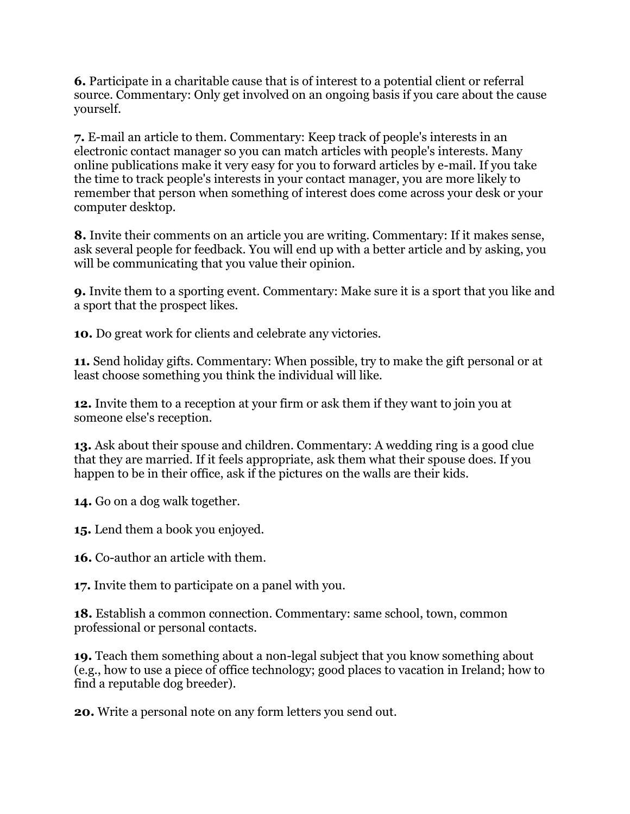**6.** Participate in a charitable cause that is of interest to a potential client or referral source. Commentary: Only get involved on an ongoing basis if you care about the cause yourself.

**7.** E-mail an article to them. Commentary: Keep track of people's interests in an electronic contact manager so you can match articles with people's interests. Many online publications make it very easy for you to forward articles by e-mail. If you take the time to track people's interests in your contact manager, you are more likely to remember that person when something of interest does come across your desk or your computer desktop.

**8.** Invite their comments on an article you are writing. Commentary: If it makes sense, ask several people for feedback. You will end up with a better article and by asking, you will be communicating that you value their opinion.

**9.** Invite them to a sporting event. Commentary: Make sure it is a sport that you like and a sport that the prospect likes.

**10.** Do great work for clients and celebrate any victories.

**11.** Send holiday gifts. Commentary: When possible, try to make the gift personal or at least choose something you think the individual will like.

**12.** Invite them to a reception at your firm or ask them if they want to join you at someone else's reception.

**13.** Ask about their spouse and children. Commentary: A wedding ring is a good clue that they are married. If it feels appropriate, ask them what their spouse does. If you happen to be in their office, ask if the pictures on the walls are their kids.

**14.** Go on a dog walk together.

**15.** Lend them a book you enjoyed.

**16.** Co-author an article with them.

**17.** Invite them to participate on a panel with you.

**18.** Establish a common connection. Commentary: same school, town, common professional or personal contacts.

**19.** Teach them something about a non-legal subject that you know something about (e.g., how to use a piece of office technology; good places to vacation in Ireland; how to find a reputable dog breeder).

**20.** Write a personal note on any form letters you send out.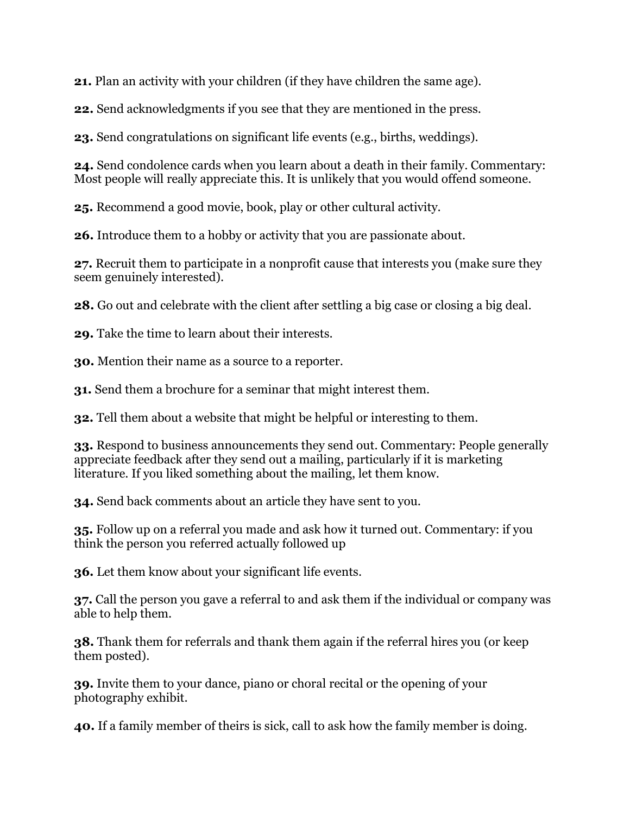**21.** Plan an activity with your children (if they have children the same age).

**22.** Send acknowledgments if you see that they are mentioned in the press.

**23.** Send congratulations on significant life events (e.g., births, weddings).

**24.** Send condolence cards when you learn about a death in their family. Commentary: Most people will really appreciate this. It is unlikely that you would offend someone.

**25.** Recommend a good movie, book, play or other cultural activity.

**26.** Introduce them to a hobby or activity that you are passionate about.

**27.** Recruit them to participate in a nonprofit cause that interests you (make sure they seem genuinely interested).

**28.** Go out and celebrate with the client after settling a big case or closing a big deal.

**29.** Take the time to learn about their interests.

**30.** Mention their name as a source to a reporter.

**31.** Send them a brochure for a seminar that might interest them.

**32.** Tell them about a website that might be helpful or interesting to them.

**33.** Respond to business announcements they send out. Commentary: People generally appreciate feedback after they send out a mailing, particularly if it is marketing literature. If you liked something about the mailing, let them know.

**34.** Send back comments about an article they have sent to you.

**35.** Follow up on a referral you made and ask how it turned out. Commentary: if you think the person you referred actually followed up

**36.** Let them know about your significant life events.

**37.** Call the person you gave a referral to and ask them if the individual or company was able to help them.

**38.** Thank them for referrals and thank them again if the referral hires you (or keep them posted).

**39.** Invite them to your dance, piano or choral recital or the opening of your photography exhibit.

**40.** If a family member of theirs is sick, call to ask how the family member is doing.